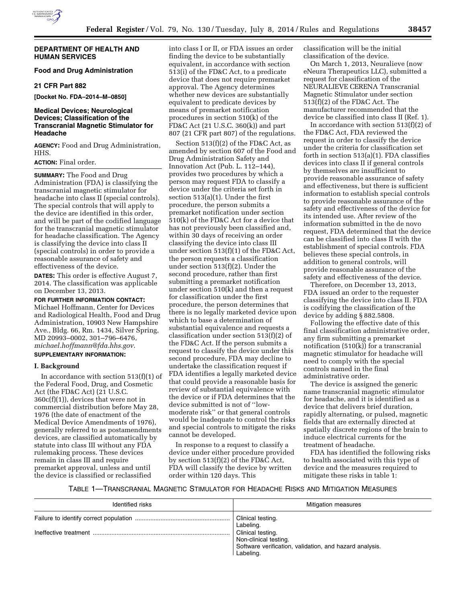

## **DEPARTMENT OF HEALTH AND HUMAN SERVICES**

# **Food and Drug Administration**

#### **21 CFR Part 882**

**[Docket No. FDA–2014–M–0850]** 

# **Medical Devices; Neurological Devices; Classification of the Transcranial Magnetic Stimulator for Headache**

**AGENCY:** Food and Drug Administration, HHS.

# **ACTION:** Final order.

**SUMMARY:** The Food and Drug Administration (FDA) is classifying the transcranial magnetic stimulator for headache into class II (special controls). The special controls that will apply to the device are identified in this order, and will be part of the codified language for the transcranial magnetic stimulator for headache classification. The Agency is classifying the device into class II (special controls) in order to provide a reasonable assurance of safety and effectiveness of the device.

**DATES:** This order is effective August 7, 2014. The classification was applicable on December 13, 2013.

**FOR FURTHER INFORMATION CONTACT:**  Michael Hoffmann, Center for Devices and Radiological Health, Food and Drug Administration, 10903 New Hampshire Ave., Bldg. 66, Rm. 1434, Silver Spring, MD 20993–0002, 301–796–6476, *[michael.hoffmann@fda.hhs.gov](mailto:michael.hoffmann@fda.hhs.gov)*.

#### **SUPPLEMENTARY INFORMATION:**

#### **I. Background**

In accordance with section  $513(f)(1)$  of the Federal Food, Drug, and Cosmetic Act (the FD&C Act) (21 U.S.C. 360c(f)(1)), devices that were not in commercial distribution before May 28, 1976 (the date of enactment of the Medical Device Amendments of 1976), generally referred to as postamendments devices, are classified automatically by statute into class III without any FDA rulemaking process. These devices remain in class III and require premarket approval, unless and until the device is classified or reclassified

into class I or II, or FDA issues an order finding the device to be substantially equivalent, in accordance with section 513(i) of the FD&C Act, to a predicate device that does not require premarket approval. The Agency determines whether new devices are substantially equivalent to predicate devices by means of premarket notification procedures in section 510(k) of the FD&C Act (21 U.S.C. 360(k)) and part 807 (21 CFR part 807) of the regulations.

Section 513(f)(2) of the FD&C Act, as amended by section 607 of the Food and Drug Administration Safety and Innovation Act (Pub. L. 112–144), provides two procedures by which a person may request FDA to classify a device under the criteria set forth in section 513(a)(1). Under the first procedure, the person submits a premarket notification under section 510(k) of the FD&C Act for a device that has not previously been classified and, within 30 days of receiving an order classifying the device into class III under section 513(f)(1) of the FD&C Act, the person requests a classification under section 513(f)(2). Under the second procedure, rather than first submitting a premarket notification under section 510(k) and then a request for classification under the first procedure, the person determines that there is no legally marketed device upon which to base a determination of substantial equivalence and requests a classification under section 513(f)(2) of the FD&C Act. If the person submits a request to classify the device under this second procedure, FDA may decline to undertake the classification request if FDA identifies a legally marketed device that could provide a reasonable basis for review of substantial equivalence with the device or if FDA determines that the device submitted is not of ''lowmoderate risk'' or that general controls would be inadequate to control the risks and special controls to mitigate the risks cannot be developed.

In response to a request to classify a device under either procedure provided by section 513(f)(2) of the FD&C Act, FDA will classify the device by written order within 120 days. This

classification will be the initial classification of the device.

On March 1, 2013, Neuralieve (now eNeura Therapeutics LLC), submitted a request for classification of the NEURALIEVE CERENA Transcranial Magnetic Stimulator under section 513(f)(2) of the FD&C Act. The manufacturer recommended that the device be classified into class II (Ref. 1).

In accordance with section  $513(f)(2)$  of the FD&C Act, FDA reviewed the request in order to classify the device under the criteria for classification set forth in section 513(a)(1). FDA classifies devices into class II if general controls by themselves are insufficient to provide reasonable assurance of safety and effectiveness, but there is sufficient information to establish special controls to provide reasonable assurance of the safety and effectiveness of the device for its intended use. After review of the information submitted in the de novo request, FDA determined that the device can be classified into class II with the establishment of special controls. FDA believes these special controls, in addition to general controls, will provide reasonable assurance of the safety and effectiveness of the device.

Therefore, on December 13, 2013, FDA issued an order to the requester classifying the device into class II. FDA is codifying the classification of the device by adding § 882.5808.

Following the effective date of this final classification administrative order, any firm submitting a premarket notification (510(k)) for a transcranial magnetic stimulator for headache will need to comply with the special controls named in the final administrative order.

The device is assigned the generic name transcranial magnetic stimulator for headache, and it is identified as a device that delivers brief duration, rapidly alternating, or pulsed, magnetic fields that are externally directed at spatially discrete regions of the brain to induce electrical currents for the treatment of headache.

FDA has identified the following risks to health associated with this type of device and the measures required to mitigate these risks in table 1:

TABLE 1—TRANSCRANIAL MAGNETIC STIMULATOR FOR HEADACHE RISKS AND MITIGATION MEASURES

| Identified risks | Mitigation measures                                                                                                                                  |
|------------------|------------------------------------------------------------------------------------------------------------------------------------------------------|
|                  | Clinical testing.<br>Labeling.<br>Clinical testing.<br>Non-clinical testing.<br>Software verification, validation, and hazard analysis.<br>Labeling. |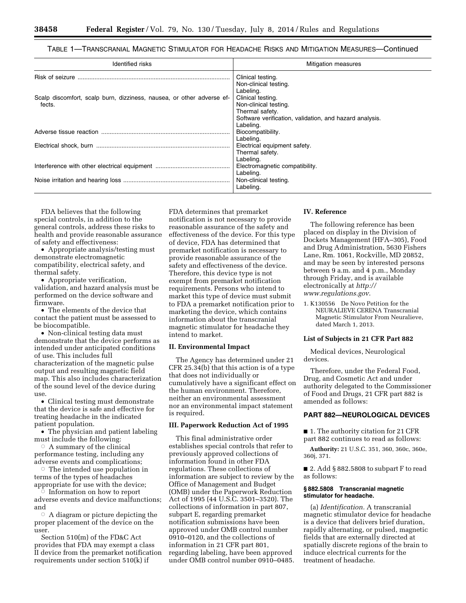# TABLE 1—TRANSCRANIAL MAGNETIC STIMULATOR FOR HEADACHE RISKS AND MITIGATION MEASURES—Continued

| Identified risks                                                                | <b>Mitigation measures</b>                                                                                                            |
|---------------------------------------------------------------------------------|---------------------------------------------------------------------------------------------------------------------------------------|
|                                                                                 | Clinical testing.<br>Non-clinical testing.<br>Labeling.                                                                               |
| Scalp discomfort, scalp burn, dizziness, nausea, or other adverse ef-<br>fects. | Clinical testing.<br>Non-clinical testing.<br>Thermal safety.<br>Software verification, validation, and hazard analysis.<br>Labeling. |
|                                                                                 | Biocompatibility.<br>Labeling.                                                                                                        |
|                                                                                 | Electrical equipment safety.<br>Thermal safety.<br>Labeling.                                                                          |
|                                                                                 | Electromagnetic compatibility.<br>Labeling.                                                                                           |
|                                                                                 | Non-clinical testing.<br>Labeling.                                                                                                    |

FDA believes that the following special controls, in addition to the general controls, address these risks to health and provide reasonable assurance of safety and effectiveness:

• Appropriate analysis/testing must demonstrate electromagnetic compatibility, electrical safety, and thermal safety.

• Appropriate verification, validation, and hazard analysis must be performed on the device software and firmware.

• The elements of the device that contact the patient must be assessed to be biocompatible.

• Non-clinical testing data must demonstrate that the device performs as intended under anticipated conditions of use. This includes full characterization of the magnetic pulse output and resulting magnetic field map. This also includes characterization of the sound level of the device during use.

• Clinical testing must demonstrate that the device is safe and effective for treating headache in the indicated patient population.

• The physician and patient labeling must include the following:

 $\circ$  A summary of the clinical performance testing, including any adverse events and complications;

The intended use population in terms of the types of headaches appropriate for use with the device;

 $\overline{C}$  Information on how to report adverse events and device malfunctions; and

 $\circ$  A diagram or picture depicting the proper placement of the device on the user.

Section 510(m) of the FD&C Act provides that FDA may exempt a class II device from the premarket notification requirements under section 510(k) if

FDA determines that premarket notification is not necessary to provide reasonable assurance of the safety and effectiveness of the device. For this type of device, FDA has determined that premarket notification is necessary to provide reasonable assurance of the safety and effectiveness of the device. Therefore, this device type is not exempt from premarket notification requirements. Persons who intend to market this type of device must submit to FDA a premarket notification prior to marketing the device, which contains information about the transcranial magnetic stimulator for headache they intend to market.

#### **II. Environmental Impact**

The Agency has determined under 21 CFR 25.34(b) that this action is of a type that does not individually or cumulatively have a significant effect on the human environment. Therefore, neither an environmental assessment nor an environmental impact statement is required.

### **III. Paperwork Reduction Act of 1995**

This final administrative order establishes special controls that refer to previously approved collections of information found in other FDA regulations. These collections of information are subject to review by the Office of Management and Budget (OMB) under the Paperwork Reduction Act of 1995 (44 U.S.C. 3501–3520). The collections of information in part 807, subpart E, regarding premarket notification submissions have been approved under OMB control number 0910–0120, and the collections of information in 21 CFR part 801, regarding labeling, have been approved under OMB control number 0910–0485.

#### **IV. Reference**

The following reference has been placed on display in the Division of Dockets Management (HFA–305), Food and Drug Administration, 5630 Fishers Lane, Rm. 1061, Rockville, MD 20852, and may be seen by interested persons between 9 a.m. and 4 p.m., Monday through Friday, and is available electronically at *[http://](http://www.regulations.gov) [www.regulations.gov](http://www.regulations.gov)*.

1. K130556 De Novo Petition for the NEURALIEVE CERENA Transcranial Magnetic Stimulator From Neuralieve, dated March 1, 2013.

#### **List of Subjects in 21 CFR Part 882**

Medical devices, Neurological devices.

Therefore, under the Federal Food, Drug, and Cosmetic Act and under authority delegated to the Commissioner of Food and Drugs, 21 CFR part 882 is amended as follows:

# **PART 882—NEUROLOGICAL DEVICES**

■ 1. The authority citation for 21 CFR part 882 continues to read as follows:

**Authority:** 21 U.S.C. 351, 360, 360c, 360e, 360j, 371.

■ 2. Add § 882.5808 to subpart F to read as follows:

## **§ 882.5808 Transcranial magnetic stimulator for headache.**

(a) *Identification.* A transcranial magnetic stimulator device for headache is a device that delivers brief duration, rapidly alternating, or pulsed, magnetic fields that are externally directed at spatially discrete regions of the brain to induce electrical currents for the treatment of headache.